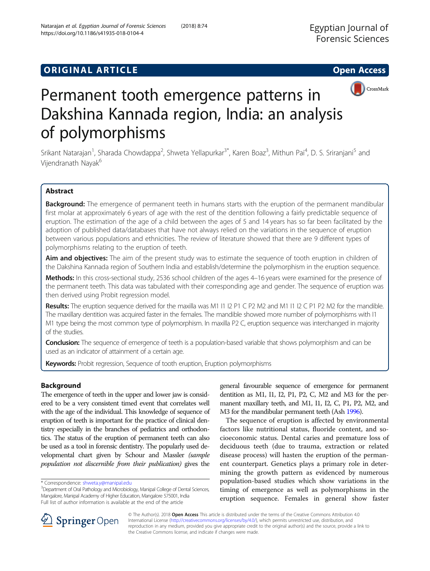https://doi.org/10.1186/s41935-018-0104-4

Natarajan et al. Egyptian Journal of Forensic Sciences (2018) 8:74



# Permanent tooth emergence patterns in Dakshina Kannada region, India: an analysis of polymorphisms

Srikant Natarajan<sup>1</sup>, Sharada Chowdappa<sup>2</sup>, Shweta Yellapurkar<sup>3\*</sup>, Karen Boaz<sup>3</sup>, Mithun Pai<sup>4</sup>, D. S. Sriranjani<sup>5</sup> and Vijendranath Nayak<sup>6</sup>

### Abstract

Background: The emergence of permanent teeth in humans starts with the eruption of the permanent mandibular first molar at approximately 6 years of age with the rest of the dentition following a fairly predictable sequence of eruption. The estimation of the age of a child between the ages of 5 and 14 years has so far been facilitated by the adoption of published data/databases that have not always relied on the variations in the sequence of eruption between various populations and ethnicities. The review of literature showed that there are 9 different types of polymorphisms relating to the eruption of teeth.

Aim and objectives: The aim of the present study was to estimate the sequence of tooth eruption in children of the Dakshina Kannada region of Southern India and establish/determine the polymorphism in the eruption sequence.

Methods: In this cross-sectional study, 2536 school children of the ages 4–16 years were examined for the presence of the permanent teeth. This data was tabulated with their corresponding age and gender. The sequence of eruption was then derived using Probit regression model.

Results: The eruption sequence derived for the maxilla was M1 I1 I2 P1 C P2 M2 and M1 I1 I2 C P1 P2 M2 for the mandible. The maxillary dentition was acquired faster in the females. The mandible showed more number of polymorphisms with I1 M1 type being the most common type of polymorphism. In maxilla P2 C, eruption sequence was interchanged in majority of the studies.

Conclusion: The sequence of emergence of teeth is a population-based variable that shows polymorphism and can be used as an indicator of attainment of a certain age.

Keywords: Probit regression, Sequence of tooth eruption, Eruption polymorphisms

#### Background

The emergence of teeth in the upper and lower jaw is considered to be a very consistent timed event that correlates well with the age of the individual. This knowledge of sequence of eruption of teeth is important for the practice of clinical dentistry especially in the branches of pediatrics and orthodontics. The status of the eruption of permanent teeth can also be used as a tool in forensic dentistry. The popularly used developmental chart given by Schour and Massler (sample population not discernible from their publication) gives the

general favourable sequence of emergence for permanent dentition as M1, I1, I2, P1, P2, C, M2 and M3 for the permanent maxillary teeth, and M1, I1, I2, C, P1, P2, M2, and M3 for the mandibular permanent teeth (Ash [1996](#page-7-0)).

The sequence of eruption is affected by environmental factors like nutritional status, fluoride content, and socioeconomic status. Dental caries and premature loss of deciduous teeth (due to trauma, extraction or related disease process) will hasten the eruption of the permanent counterpart. Genetics plays a primary role in determining the growth pattern as evidenced by numerous population-based studies which show variations in the timing of emergence as well as polymorphisms in the eruption sequence. Females in general show faster



© The Author(s). 2018 Open Access This article is distributed under the terms of the Creative Commons Attribution 4.0 International License ([http://creativecommons.org/licenses/by/4.0/\)](http://creativecommons.org/licenses/by/4.0/), which permits unrestricted use, distribution, and reproduction in any medium, provided you give appropriate credit to the original author(s) and the source, provide a link to the Creative Commons license, and indicate if changes were made.

<sup>\*</sup> Correspondence: [shweta.y@manipal.edu](mailto:shweta.y@manipal.edu) <sup>3</sup>

 $3$ Department of Oral Pathology and Microbiology, Manipal College of Dental Sciences, Mangalore, Manipal Academy of Higher Education, Mangalore 575001, India Full list of author information is available at the end of the article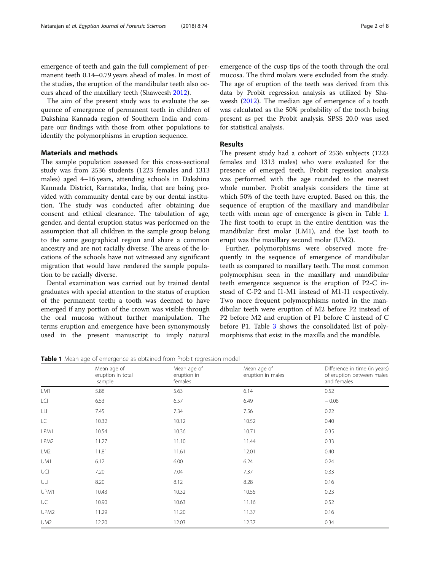<span id="page-1-0"></span>emergence of teeth and gain the full complement of permanent teeth 0.14–0.79 years ahead of males. In most of the studies, the eruption of the mandibular teeth also occurs ahead of the maxillary teeth (Shaweesh [2012](#page-7-0)).

The aim of the present study was to evaluate the sequence of emergence of permanent teeth in children of Dakshina Kannada region of Southern India and compare our findings with those from other populations to identify the polymorphisms in eruption sequence.

#### Materials and methods

The sample population assessed for this cross-sectional study was from 2536 students (1223 females and 1313 males) aged 4–16 years, attending schools in Dakshina Kannada District, Karnataka, India, that are being provided with community dental care by our dental institution. The study was conducted after obtaining due consent and ethical clearance. The tabulation of age, gender, and dental eruption status was performed on the assumption that all children in the sample group belong to the same geographical region and share a common ancestry and are not racially diverse. The areas of the locations of the schools have not witnessed any significant migration that would have rendered the sample population to be racially diverse.

Dental examination was carried out by trained dental graduates with special attention to the status of eruption of the permanent teeth; a tooth was deemed to have emerged if any portion of the crown was visible through the oral mucosa without further manipulation. The terms eruption and emergence have been synonymously used in the present manuscript to imply natural emergence of the cusp tips of the tooth through the oral mucosa. The third molars were excluded from the study. The age of eruption of the teeth was derived from this data by Probit regression analysis as utilized by Shaweesh ([2012](#page-7-0)). The median age of emergence of a tooth was calculated as the 50% probability of the tooth being present as per the Probit analysis. SPSS 20.0 was used for statistical analysis.

#### Results

The present study had a cohort of 2536 subjects (1223 females and 1313 males) who were evaluated for the presence of emerged teeth. Probit regression analysis was performed with the age rounded to the nearest whole number. Probit analysis considers the time at which 50% of the teeth have erupted. Based on this, the sequence of eruption of the maxillary and mandibular teeth with mean age of emergence is given in Table 1. The first tooth to erupt in the entire dentition was the mandibular first molar (LM1), and the last tooth to erupt was the maxillary second molar (UM2).

Further, polymorphisms were observed more frequently in the sequence of emergence of mandibular teeth as compared to maxillary teeth. The most common polymorphism seen in the maxillary and mandibular teeth emergence sequence is the eruption of P2-C instead of C-P2 and I1-M1 instead of M1-I1 respectively. Two more frequent polymorphisms noted in the mandibular teeth were eruption of M2 before P2 instead of P2 before M2 and eruption of P1 before C instead of C before P1. Table [3](#page-6-0) shows the consolidated list of polymorphisms that exist in the maxilla and the mandible.

Table 1 Mean age of emergence as obtained from Probit regression model

|                  | Mean age of<br>eruption in total<br>sample | Mean age of<br>eruption in<br>females | Mean age of<br>eruption in males | Difference in time (in years)<br>of eruption between males<br>and females |
|------------------|--------------------------------------------|---------------------------------------|----------------------------------|---------------------------------------------------------------------------|
| LM1              | 5.88                                       | 5.63                                  | 6.14                             | 0.52                                                                      |
| LCI              | 6.53                                       | 6.57                                  | 6.49                             | $-0.08$                                                                   |
| LLI              | 7.45                                       | 7.34                                  | 7.56                             | 0.22                                                                      |
| LC               | 10.32                                      | 10.12                                 | 10.52                            | 0.40                                                                      |
| LPM1             | 10.54                                      | 10.36                                 | 10.71                            | 0.35                                                                      |
| LPM2             | 11.27                                      | 11.10                                 | 11.44                            | 0.33                                                                      |
| LM <sub>2</sub>  | 11.81                                      | 11.61                                 | 12.01                            | 0.40                                                                      |
| UM1              | 6.12                                       | 6.00                                  | 6.24                             | 0.24                                                                      |
| UCI              | 7.20                                       | 7.04                                  | 7.37                             | 0.33                                                                      |
| ULI              | 8.20                                       | 8.12                                  | 8.28                             | 0.16                                                                      |
| UPM1             | 10.43                                      | 10.32                                 | 10.55                            | 0.23                                                                      |
| UC               | 10.90                                      | 10.63                                 | 11.16                            | 0.52                                                                      |
| UPM <sub>2</sub> | 11.29                                      | 11.20                                 | 11.37                            | 0.16                                                                      |
| UM <sub>2</sub>  | 12.20                                      | 12.03                                 | 12.37                            | 0.34                                                                      |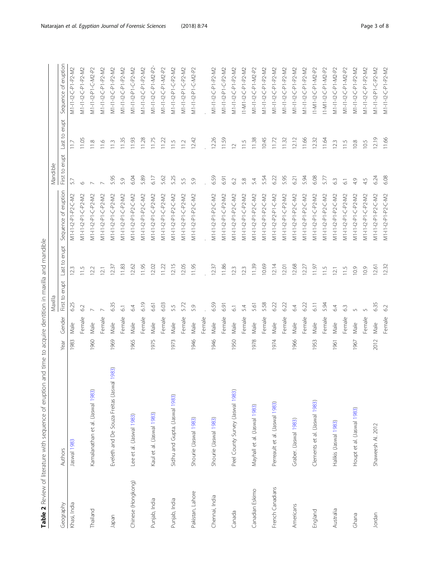| l<br>$\ddot{\phantom{0}}$<br>$\overline{ }$<br>Ĭ<br>ţ<br>ï<br>ļ |  |
|-----------------------------------------------------------------|--|
| l<br>ļ                                                          |  |
| $\ddot{\phantom{a}}$<br>ı                                       |  |
| .<br>.<br>.<br>j<br>I<br>ؚ<br>ٳ<br>١                            |  |
| ļ                                                               |  |
| ֬֕֜֡<br>l<br>١                                                  |  |
| ۱<br>ا<br>i<br>i<br>i                                           |  |
| $\ddot{\phantom{a}}$                                            |  |
| i<br>ï<br>j<br>i                                                |  |
| ׇ֧֧֢֚֚֬<br>l                                                    |  |
| l<br>able<br>ĩ<br>I                                             |  |

<span id="page-2-0"></span>

|                    |                                            |      |        | Maxilla        |                                 |                      | Mandible          |                  |                      |
|--------------------|--------------------------------------------|------|--------|----------------|---------------------------------|----------------------|-------------------|------------------|----------------------|
| Geography          | Authors                                    | Year | Gender | First to erupt | erupt<br>$\overline{c}$<br>Last | Sequence of eruption | erupt<br>First to | erupt<br>Last to | Sequence of eruption |
| Khasi, India       | Jaswal 1983                                | 1983 | Male   | 6.25           | 123                             | M1-I1-I2-P1-P2-C-M2  | 5.7               | 117              | M1-I1-I2-C-P1-P2-M2  |
|                    |                                            |      | Female | 62             | 11.5                            | M1-I1-I2-P1-C-P2-M2  | O                 | 11.05            | M1-I1-I2-C-P1-P2-M2  |
| Thailand           | Kamalanathan et al. (Jaswal 1983)          | 1960 | Male   |                | 12.2                            | M1-11-12-P1-C-P2-M2  |                   | 11.8             | V11-11-12-P1-C-M2-P2 |
|                    |                                            |      | Female |                | $\overline{2}1$                 | M1-11-12-P1-C-P2-M2  |                   | 11.6             | M1-I1-I2-C-P1-P2-M2  |
| Japan              | Eveleth and De Souza Freitas (Jaswal 1983) | 1969 | Male   | 6.35           | 12.37                           | M1-I1-I2-P1-C-P2-M2  | 5.95              | 11.3             | M1-I1-I2-C-P1-P2-M2  |
|                    |                                            |      | Female | $\overline{6}$ | 11.83                           | M1-11-12-P1-C-P2-M2  | 5.9               | 11.35            | M1-I1-I2-C-P1-P2-M2  |
| Chinese (Hongkong) | Lee et al. (Jaswal 1983)                   | 1965 | Male   | 6.4            | 12.62                           | M1-11-12-P1-P2-C-M2  | 6.04              | 11.93            | M1-11-12-P1-C-P2-M2  |
|                    |                                            |      | Female | 6.19           | 11.95                           | M1-I1-I2-P1-P2-C-M2  | 5.89              | 11.28            | M1-I1-I2-C-P1-P2-M2  |
| Punjab, India      | Kaul et al. (Jaswal 1983)                  | 1975 | Male   | 6.61           | 12.02                           | M1-I1-I2-P1-C-P2-M2  | 6.17              | 11.75            | M1-I1-I2-C-P1-M2-P2- |
|                    |                                            |      | Female | 6.03           | 11.22                           | M1-I1-I2-P1-C-P2-M2  | 5.62              | 11.22            | M1-I1-I2-C-P1-M2-P2  |
| Punjab, India      | Sidhu and Gupta. (Jaswal 1983)             | 1973 | Male   | 5.5            | 12.15                           | M1-I1-I2-P1-P2-C-M2  | 5.25              | 11.5             | M1-I1-I2-P1-C-P2-M2  |
|                    |                                            |      | Female | 5.72           | 12.05                           | M1-I1-I2-P1-C-P2-M2  | 5.5               | 112              | M1-I1-I2-P1-C-P2-M2  |
| Pakistan, Lahore   | Shourie (Jaswal 1983)                      | 1946 | Male   | 5.9            | 11.95                           | M1-I1-I2-P1-P2-C-M2  | 5.9               | 12.42            | M1-11-12-P1-C-M2-P2  |
|                    |                                            |      | Female |                |                                 |                      |                   |                  |                      |
| Chennai, India     | Shourie (Jaswal 1983)                      | 1946 | Male   | 6.59           | 12.37                           | M1-I1-I2-P1-P2-C-M2  | 6.59              | 12.26            | M1-I1-I2-C-P1-P2-M2  |
|                    |                                            |      | Female | 6.91           | 11,86                           | M1-I1-I2-P1-C-P2-M2  | 6.91              | 11.59            | V11-11-12-P1-C-P2-M2 |
| Canada             | Peel County Survey (Jaswal 1983)           | 1950 | Male   | $\overline{6}$ | 12.3                            | M1-I1-I2-P1-P2-C-M2  | 62                | $\overline{C}$   | M1-I1-I2-C-P1-P2-M2  |
|                    |                                            |      | Female | 5.4            | 12.3                            | M1-I1-I2-P1-C-P2-M2  | 5.8               | 115              | I1-M1-I2-C-P1-P2-M2  |
| Canadian Eskimo    | Mayhall et al. (Jaswal 1983)               | 1978 | Male   | 5.61           | 11.39                           | M1-I1-I2-P1-P2-C-M2  | 5.4               | 11.38            | M1-11-12-C-P1-M2-P2  |
|                    |                                            |      | Female | 5.58           | 10.69                           | M1-I1-I2-P1-P2-C-M2  | 5.54              | 10.45            | V11-11-12-C-P1-P2-M2 |
| French Canadians   | Perreault et al. (Jaswal 1983)             | 1974 | Male   | 6.22           | 12.14                           | M1-11-12-P2-P1-C-M2  | 6.22              | 1172             | M1-I1-I2-C-P1-P2-M2  |
|                    |                                            |      | Female | 6.22           | 12.01                           | M1-I1-I2-P1-C-P2-M2  | 5.95              | 11.32            | M1-I1-I2-C-P1-P2-M2  |
| Americans          | Graber. (Jaswal 1983)                      | 1966 | Male   | 64             | 12.68                           | M1-11-12-P1-P2-C-M2  | 6.21              | 12.12            | M1-I1-I2-C-P1-P2-M2  |
|                    |                                            |      | Female | 6.22           | 12.27                           | M1-I1-I2-P1-P2-C-M2  | 5.94              | 11.66            | M1-I1-I2-C-P1-P2-M2  |
| England            | Clements et al. (Jaswal 1983)              | 1953 | Male   | 611            | 11.97                           | M1-I1-I2-P1-C-P2-M2  | 6.08              | 12.32            | 11-M1-12-C-P1-M2-P2  |
|                    |                                            |      | Female | 5.94           | 11.5                            | M1-I1-I2-P1-P2-C-M2  | 5.77              | 11.64            | 11-M1-12-C-P1-M2-P2  |
| Australia          | Halikis (Jaswal 1983)                      | 1961 | Male   | 6.4            | $\overline{21}$                 | M1-I1-I2-P1-P2-C-M2  | 63                | 123              | V11-11-12-C-P1-M2-P2 |
|                    |                                            |      | Female | 63             | 11.5                            | M1-I1-I2-P1-C-P2-M2  | $\overline{6}$    | 11.5             | M1-I1-I2-C-P1-M2-P2  |
| Ghana              | Houpt et al. (Jaswal 1983)                 | 1967 | Male   |                | 10.9                            | M1-11-12-P1-C-P2-M2  | 4.9               | 10.8             | M1-I1-I2-C-P1-P2-M2  |
|                    |                                            |      | Female | $\sqrt{2}$     | 10.9                            | M1-I1-I2-P1-C-P2-M2  | 4.5               | 10.5             | M1-I1-I2-C-P1-P2-M2  |
| Jordan             | Shaweesh AI. 2012                          | 2012 | Male   | 6.35           | 12.61                           | M1-I1-I2-P1-P2-C-M2  | 6.24              | 12.19            | M1-I1-I2-P1-C-P2-M2  |
|                    |                                            |      | Female | 62             | 12.32                           | M1-I1-I2-P1-P2-C-M2  | 6.08              | 11.66            | M1-I1-I2-C-P1-P2-M2  |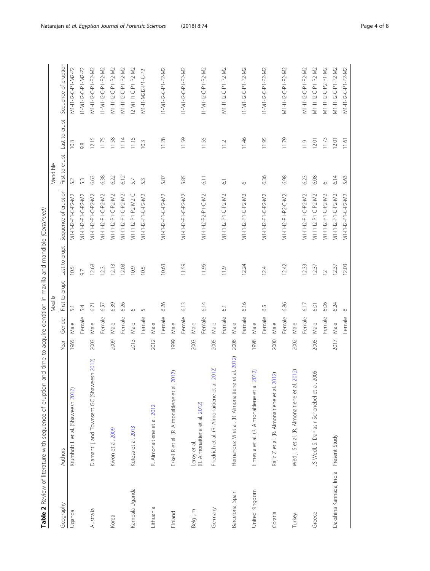|                                                                                                                                                                                                                                          | י<br>גוע<br>ļ                                       |
|------------------------------------------------------------------------------------------------------------------------------------------------------------------------------------------------------------------------------------------|-----------------------------------------------------|
| 5) 5<br>ī<br>١<br>$\frac{1}{2}$<br>$\sim$<br>:<br>ו<br>j<br>j<br>j<br>inting to a set of the set<br>֧֦֧֦֧ׅ֚֚֚֚֚֚֚֚֚֚֚֚֚֚֚֚֚֚֚֚֚֚֝֡֜֡֜֓֡֜֡֜֝<br>Ì,<br>j<br>j<br>in sep ni<br>)<br> <br> <br>l<br>$\ddot{\phantom{a}}$<br>l<br>í<br>י<br>י | $\frac{a}{b}$<br>$\overline{\phantom{a}}$<br>j<br>į |

|                         |                                                     |      |        | Maxilla             |                  |                         | Mandible       |               |                      |
|-------------------------|-----------------------------------------------------|------|--------|---------------------|------------------|-------------------------|----------------|---------------|----------------------|
| Geography               | Authors                                             | Year | Gender | erupt<br>First to   | erupt<br>Last to | of eruption<br>Sequence | First to erupt | Last to erupt | Sequence of eruption |
| Uganda                  | Krumholt L et al. (Shaweesh 2012)                   | 1965 | Male   | $\overline{51}$     | 10.5             | M1-I1-I2-P1-C-P2-M2     | 5.2            | 10.3          | M1-I1-I2-C-P1-M2-P2  |
|                         |                                                     |      | Female | 5.4                 | 9.7              | M1-I1-I2-P1-C-P2-M2     | 5.3            | 9.8           | 11-M1-12-C-P1-M2-P2  |
| Australia               | Diamanti j and Townsent GC (Shaweesh 2012)          | 2003 | Male   | 6.71                | 12.68            | M1-11-12-P1-C-P2-M2     | 6.63           | 12.15         | M1-I1-I2-C-P1-P2-M2  |
|                         |                                                     |      | Female | 6.57                | 12.3             | M1-11-12-P1-C-P2-M2     | 6.38           | 11.75         | 11-M1-12-C-P1-P2-M2  |
| Korea                   | Kwon et al. 2009                                    | 2009 | Male   | 6.39                | 12.13            | M1-I1-I2-P1-C-P2-M2     | 6.22           | 11.58         | M1-I1-I2-C-P1-P2-M2  |
|                         |                                                     |      | Female | 6.26                | 12.03            | M1-I1-I2-P1-C-P2-M2     | 6.12           | 11.14         | M1-I1-I2-C-P1-P2-M2  |
| Kampala Uganda          | Kutesa et al. 2013                                  | 2013 | Male   | $\circ$             | 10.9             | M1-11-12-P1-P2-M2-C     | 5.7            | 11.15         | 2-M1-I1-C-P1-P2-M2   |
|                         |                                                     |      | Female | $\sqrt{2}$          | 10.5             | M1-I1-I2-P1-C-P2-M2     | 5.3            | 10.3          | M1-I1-M2I2-P1-C-P2   |
| Lithuania               | R. Almonaitiene et al. 2012                         | 2012 | Male   |                     |                  |                         |                |               |                      |
|                         |                                                     |      | Female | 6.26                | 10.63            | M1-I1-I2-P1-C-P2-M2     | 5.87           | 11.28         | I1-M1-I2-C-P1-P2-M2  |
| Finland                 | Eskeli R et al. (R. Almonaitiene et al. 2012)       | 1999 | Male   |                     |                  |                         |                |               |                      |
|                         |                                                     |      | Female | 6.13                | 11.59            | M1-I1-I2-P1-C-P2-M2     | 5.85           | 11.59         | I1-M1-I2-C-P1-P2-M2  |
| Belgium                 | Leroy et al.                                        | 2003 | Male   |                     |                  |                         |                |               |                      |
|                         | (R. Almonaitiene et al. 2012)                       |      | Female | 6.14                | 11.95            | M1-I1-I2-P2-P1-C-M2     | 6.1            | 11.55         | I1-M1-I2-C-P1-P2-M2  |
| Germany                 | 2012)<br>Friedrich et al. (R. Almonaitiene et al.   | 2005 | Male   |                     |                  |                         |                |               |                      |
|                         |                                                     |      | Female | $\overline{6}$      | 11.9             | M1-I1-I2-P1-C-P2-M2     | $\overline{6}$ | 112           | M1-I1-I2-C-P1-P2-M2  |
| Barcelona, Spain        | et al. 2012)<br>Hernandez M et al. (R. Almonaitiene | 2008 | Male   |                     |                  |                         |                |               |                      |
|                         |                                                     |      | Female | 6.16                | 12.24            | M1-I1-I2-P1-C-P2-M2     | $\circ$        | 11.46         | I1-M1-I2-C-P1-P2-M2  |
| United Kingdom          | 2012)<br>Elmes a et al. (R. Almonaitiene et al.     | 1998 | Male   |                     |                  |                         |                |               |                      |
|                         |                                                     |      | Female | $\overline{5}$<br>Ö | 12.4             | M1-I1-I2-P1-C-P2-M2     | 6.36           | 11.95         | I1-M1-I2-C-P1-P2-M2  |
| Coratia                 | Rajic Z et al. (R. Almonaitiene et al. 2012)        | 2000 | Male   |                     |                  |                         |                |               |                      |
|                         |                                                     |      | Female | 6.86                | 12.42            | M1-I1-I2-P1-P2-C-M2     | 6.98           | 11.79         | M1-I1-I2-C-P1-P2-M2  |
| Turkey                  | 2012)<br>Wedlj. S et al. (R. Almonaitiene et al.    | 2002 | Male   |                     |                  |                         |                |               |                      |
|                         |                                                     |      | Female | 6.17                | 12.33            | M1-11-12-P1-C-P2-M2     | 6.23           | 11.9          | M1-I1-I2-C-P1-P2-M2  |
| Greece                  | 2005<br>JS Wedl. S. Danias r Schcnebel et al.       | 2005 | Male   | 6.01                | 12.37            | M1-I1-I2-P1-C-P2-M2     | 6.08           | 12.01         | M1-I1-I2-C-P1-P2-M2  |
|                         |                                                     |      | Female | 6.06                | $\overline{C}$   | M1-I1-I2-P1-C-P2-M2     | $\circ$        | 11.73         | M1-I1-I2-C-P2-P1-M2  |
| Dakshina Kannada, India | Present Study                                       | 2017 | Male   | 6.24                | 12.37            | M1-I1-I2-P1-C-P2-M2     | 6.14           | 12.01         | M1-I1-I2-C-P1-P2-M2  |
|                         |                                                     |      | Female | $\circ$             | 12.03            | M1-I1-I2-P1-C-P2-M2     | 5.63           | 11.61         | M1-I1-I2-C-P1-P2-M2  |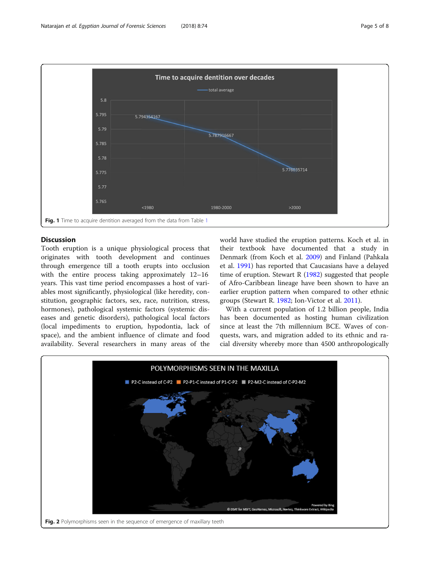<span id="page-4-0"></span>

#### **Discussion**

Tooth eruption is a unique physiological process that originates with tooth development and continues through emergence till a tooth erupts into occlusion with the entire process taking approximately 12–16 years. This vast time period encompasses a host of variables most significantly, physiological (like heredity, constitution, geographic factors, sex, race, nutrition, stress, hormones), pathological systemic factors (systemic diseases and genetic disorders), pathological local factors (local impediments to eruption, hypodontia, lack of space), and the ambient influence of climate and food availability. Several researchers in many areas of the

world have studied the eruption patterns. Koch et al. in their textbook have documented that a study in Denmark (from Koch et al. [2009](#page-7-0)) and Finland (Pahkala et al. [1991\)](#page-7-0) has reported that Caucasians have a delayed time of eruption. Stewart R ([1982](#page-7-0)) suggested that people of Afro-Caribbean lineage have been shown to have an earlier eruption pattern when compared to other ethnic groups (Stewart R. [1982](#page-7-0); Ion-Victor et al. [2011](#page-7-0)).

With a current population of 1.2 billion people, India has been documented as hosting human civilization since at least the 7th millennium BCE. Waves of conquests, wars, and migration added to its ethnic and racial diversity whereby more than 4500 anthropologically

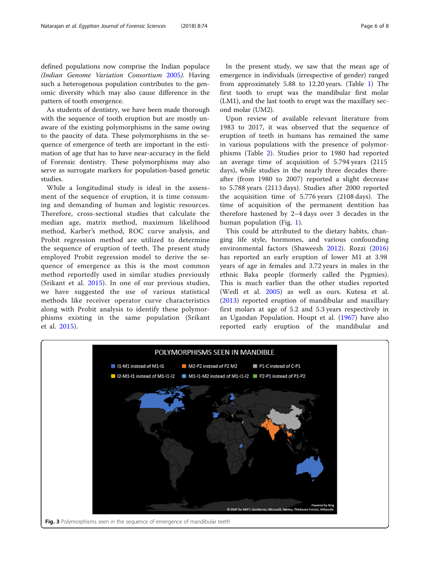<span id="page-5-0"></span>defined populations now comprise the Indian populace (Indian Genome Variation Consortium [2005](#page-7-0)). Having such a heterogenous population contributes to the genomic diversity which may also cause difference in the pattern of tooth emergence.

As students of dentistry, we have been made thorough with the sequence of tooth eruption but are mostly unaware of the existing polymorphisms in the same owing to the paucity of data. These polymorphisms in the sequence of emergence of teeth are important in the estimation of age that has to have near-accuracy in the field of Forensic dentistry. These polymorphisms may also serve as surrogate markers for population-based genetic studies.

While a longitudinal study is ideal in the assessment of the sequence of eruption, it is time consuming and demanding of human and logistic resources. Therefore, cross-sectional studies that calculate the median age, matrix method, maximum likelihood method, Karber's method, ROC curve analysis, and Probit regression method are utilized to determine the sequence of eruption of teeth. The present study employed Probit regression model to derive the sequence of emergence as this is the most common method reportedly used in similar studies previously (Srikant et al. [2015](#page-7-0)). In one of our previous studies, we have suggested the use of various statistical methods like receiver operator curve characteristics along with Probit analysis to identify these polymorphisms existing in the same population (Srikant et al. [2015\)](#page-7-0).

In the present study, we saw that the mean age of emergence in individuals (irrespective of gender) ranged from approximately 5.88 to 12.20 years. (Table [1](#page-1-0)) The first tooth to erupt was the mandibular first molar (LM1), and the last tooth to erupt was the maxillary second molar (UM2).

Upon review of available relevant literature from 1983 to 2017, it was observed that the sequence of eruption of teeth in humans has remained the same in various populations with the presence of polymorphisms (Table [2\)](#page-2-0). Studies prior to 1980 had reported an average time of acquisition of 5.794 years (2115 days), while studies in the nearly three decades thereafter (from 1980 to 2007) reported a slight decrease to 5.788 years (2113 days). Studies after 2000 reported the acquisition time of 5.776 years (2108 days). The time of acquisition of the permanent dentition has therefore hastened by 2–4 days over 3 decades in the human population (Fig. [1\)](#page-4-0).

This could be attributed to the dietary habits, changing life style, hormones, and various confounding environmental factors (Shaweesh [2012\)](#page-7-0). Rozzi [\(2016](#page-7-0)) has reported an early eruption of lower M1 at 3.98 years of age in females and 3.72 years in males in the ethnic Baka people (formerly called the Pygmies). This is much earlier than the other studies reported (Wedl et al. [2005](#page-7-0)) as well as ours. Kutesa et al. ([2013\)](#page-7-0) reported eruption of mandibular and maxillary first molars at age of 5.2 and 5.3 years respectively in an Ugandan Population. Houpt et al. ([1967\)](#page-7-0) have also reported early eruption of the mandibular and

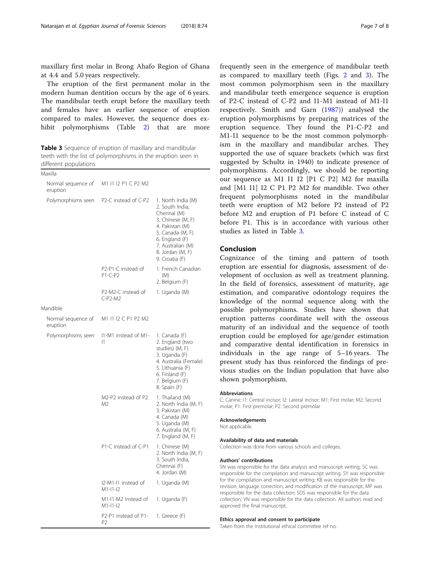<span id="page-6-0"></span>maxillary first molar in Brong Ahafo Region of Ghana at 4.4 and 5.0 years respectively.

The eruption of the first permanent molar in the modern human dentition occurs by the age of 6 years. The mandibular teeth erupt before the maxillary teeth and females have an earlier sequence of eruption compared to males. However, the sequence does ex-hibit polymorphisms (Table [2\)](#page-2-0) that are more

Table 3 Sequence of eruption of maxillary and mandibular teeth with the list of polymorphisms in the eruption seen in different populations

| Maxilla                        |                                       |                                                                                                                                                                                               |
|--------------------------------|---------------------------------------|-----------------------------------------------------------------------------------------------------------------------------------------------------------------------------------------------|
| Normal sequence of<br>eruption | M1 I1 I2 P1 C P2 M2                   |                                                                                                                                                                                               |
| Polymorphisms seen             | P2-C instead of C-P2                  | 1. North India (M)<br>2. South India,<br>Chennai (M)<br>3. Chinese (M, F)<br>4. Pakistan (M)<br>5. Canada (M, F)<br>6. England (F)<br>7. Australian (M)<br>8. Jordan (M, F)<br>9. Croatia (F) |
|                                | P2-P1-C instead of<br>$P1-C-P2$       | 1. French Canadian<br>(M)<br>2. Belgium (F)                                                                                                                                                   |
|                                | P2-M2-C instead of<br>$C-P2-M2$       | 1. Uganda (M)                                                                                                                                                                                 |
| Mandible                       |                                       |                                                                                                                                                                                               |
| Normal sequence of<br>eruption | M1 I1 I2 C P1 P2 M2                   |                                                                                                                                                                                               |
| Polymorphisms seen             | I1-M1 instead of M1-<br> 1            | 1. Canada (F)<br>2. England (two<br>studies) (M, F)<br>3. Uganda (F)<br>4. Australia (Female)<br>5. Lithuania (F)<br>6. Finland (F)<br>7. Belgium (F)<br>8. Spain (F)                         |
|                                | M2-P2 instead of P2<br>M <sub>2</sub> | 1. Thailand (M)<br>2. North India (M, F)<br>3. Pakistan (M)<br>4. Canada (M)<br>5. Uganda (M)<br>6. Australia (M, F)<br>7. England (M, F)                                                     |
|                                | P1-C instead of C-P1                  | 1. Chinese (M)<br>2. North India (M, F)<br>3. South India,<br>Chennai (F)<br>4. Jordan (M)                                                                                                    |
|                                | I2-M1-I1 instead of<br>$M1-11-12$     | 1. Uganda (M)                                                                                                                                                                                 |
|                                | M1-I1-M2 instead of<br>$M1-11-12$     | 1. Uganda (F)                                                                                                                                                                                 |
|                                | P2-P1 instead of P1-<br>P2            | 1. Greece (F)                                                                                                                                                                                 |

frequently seen in the emergence of mandibular teeth as compared to maxillary teeth (Figs. [2](#page-4-0) and [3](#page-5-0)). The most common polymorphism seen in the maxillary and mandibular teeth emergence sequence is eruption of P2-C instead of C-P2 and I1-M1 instead of M1-I1 respectively. Smith and Garn [\(1987](#page-7-0))) analysed the eruption polymorphisms by preparing matrices of the eruption sequence. They found the P1-C-P2 and M1-I1 sequence to be the most common polymorphism in the maxillary and mandibular arches. They supported the use of square brackets (which was first suggested by Schultz in 1940) to indicate presence of polymorphisms. Accordingly, we should be reporting our sequence as M1 I1 I2 [P1 C P2] M2 for maxilla and [M1 I1] I2 C P1 P2 M2 for mandible. Two other frequent polymorphisms noted in the mandibular teeth were eruption of M2 before P2 instead of P2 before M2 and eruption of P1 before C instead of C before P1. This is in accordance with various other studies as listed in Table 3.

#### Conclusion

Cognizance of the timing and pattern of tooth eruption are essential for diagnosis, assessment of development of occlusion as well as treatment planning. In the field of forensics, assessment of maturity, age estimation, and comparative odontology requires the knowledge of the normal sequence along with the possible polymorphisms. Studies have shown that eruption patterns coordinate well with the osseous maturity of an individual and the sequence of tooth eruption could be employed for age/gender estimation and comparative dental identification in forensics in individuals in the age range of 5–16 years. The present study has thus reinforced the findings of previous studies on the Indian population that have also shown polymorphism.

#### Abbreviations

C: Canine; I1: Central incisor; I2: Lateral incisor; M1: First molar; M2: Second molar; P1: First premolar; P2: Second premolar

#### Acknowledgements

Not applicable.

#### Availability of data and materials

Collection was done from various schools and colleges.

#### Authors' contributions

SN was responsible for the data analysis and manuscript writing; SC was responsible for the compilation and manuscript writing. SY was responsible for the compilation and manuscript writing; KB was responsible for the revision, language correction, and modification of the manuscript; MP was responsible for the data collection; SDS was responsible for the data collection; VN was responsible for the data collection. All authors read and approved the final manuscript.

#### Ethics approval and consent to participate

Taken from the institutional ethical committee ref no.